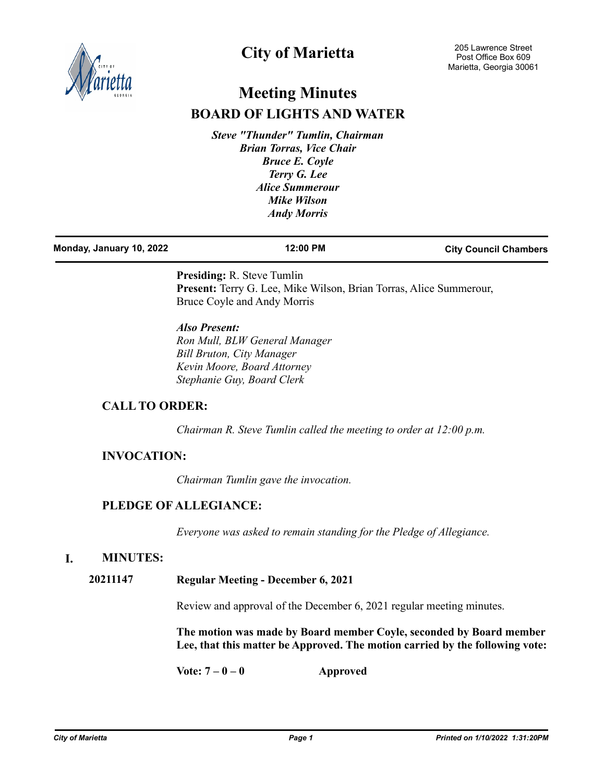

# **City of Marietta**

# **Meeting Minutes BOARD OF LIGHTS AND WATER**

*Steve "Thunder" Tumlin, Chairman Brian Torras, Vice Chair Bruce E. Coyle Terry G. Lee Alice Summerour Mike Wilson Andy Morris*

| Monday, January 10, 2022 | 12:00 PM | <b>City Council Chambers</b> |
|--------------------------|----------|------------------------------|
|                          |          |                              |

**Presiding:** R. Steve Tumlin **Present:** Terry G. Lee, Mike Wilson, Brian Torras, Alice Summerour, Bruce Coyle and Andy Morris

*Also Present: Ron Mull, BLW General Manager Bill Bruton, City Manager Kevin Moore, Board Attorney Stephanie Guy, Board Clerk*

## **CALL TO ORDER:**

*Chairman R. Steve Tumlin called the meeting to order at 12:00 p.m.*

## **INVOCATION:**

*Chairman Tumlin gave the invocation.*

## **PLEDGE OF ALLEGIANCE:**

*Everyone was asked to remain standing for the Pledge of Allegiance.*

### **I. MINUTES:**

### **20211147 Regular Meeting - December 6, 2021**

Review and approval of the December 6, 2021 regular meeting minutes.

**The motion was made by Board member Coyle, seconded by Board member Lee, that this matter be Approved. The motion carried by the following vote:**

**Vote: 7 – 0 – 0 Approved**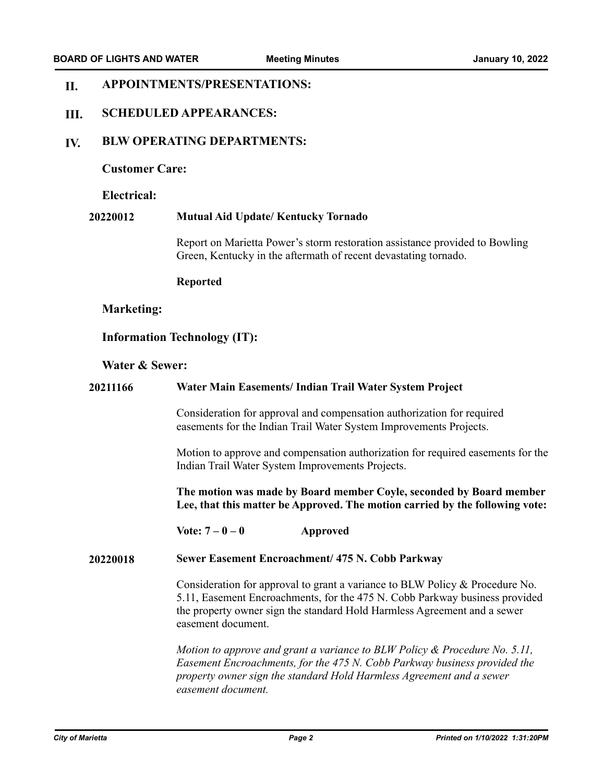#### **APPOINTMENTS/PRESENTATIONS: II.**

#### **SCHEDULED APPEARANCES: III.**

#### **BLW OPERATING DEPARTMENTS: IV.**

### **Customer Care:**

#### **Electrical:**

#### **20220012 Mutual Aid Update/ Kentucky Tornado**

Report on Marietta Power's storm restoration assistance provided to Bowling Green, Kentucky in the aftermath of recent devastating tornado.

#### **Reported**

### **Marketing:**

### **Information Technology (IT):**

#### **Water & Sewer:**

# **20211166 Water Main Easements/ Indian Trail Water System Project** Consideration for approval and compensation authorization for required easements for the Indian Trail Water System Improvements Projects. Motion to approve and compensation authorization for required easements for the Indian Trail Water System Improvements Projects. **The motion was made by Board member Coyle, seconded by Board member Lee, that this matter be Approved. The motion carried by the following vote: Vote: 7 – 0 – 0 Approved 20220018 Sewer Easement Encroachment/ 475 N. Cobb Parkway** Consideration for approval to grant a variance to BLW Policy & Procedure No. 5.11, Easement Encroachments, for the 475 N. Cobb Parkway business provided the property owner sign the standard Hold Harmless Agreement and a sewer easement document. *Motion to approve and grant a variance to BLW Policy & Procedure No. 5.11, Easement Encroachments, for the 475 N. Cobb Parkway business provided the property owner sign the standard Hold Harmless Agreement and a sewer*

*easement document.*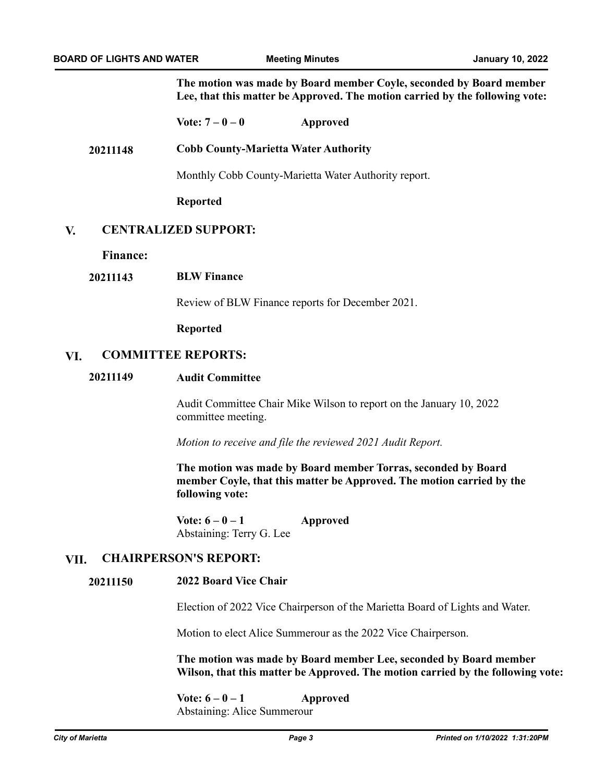**The motion was made by Board member Coyle, seconded by Board member Lee, that this matter be Approved. The motion carried by the following vote:**

**Vote: 7 – 0 – 0 Approved**

**20211148 Cobb County-Marietta Water Authority**

Monthly Cobb County-Marietta Water Authority report.

**Reported**

#### **CENTRALIZED SUPPORT: V.**

**Finance:**

### **20211143 BLW Finance**

Review of BLW Finance reports for December 2021.

**Reported**

### **VI. COMMITTEE REPORTS:**

### **20211149 Audit Committee**

Audit Committee Chair Mike Wilson to report on the January 10, 2022 committee meeting.

*Motion to receive and file the reviewed 2021 Audit Report.*

**The motion was made by Board member Torras, seconded by Board member Coyle, that this matter be Approved. The motion carried by the following vote:**

**Vote: 6 – 0 – 1 Approved** Abstaining: Terry G. Lee

### **VII. CHAIRPERSON'S REPORT:**

#### **2022 Board Vice Chair 20211150**

Election of 2022 Vice Chairperson of the Marietta Board of Lights and Water.

Motion to elect Alice Summerour as the 2022 Vice Chairperson.

**The motion was made by Board member Lee, seconded by Board member Wilson, that this matter be Approved. The motion carried by the following vote:**

 $\text{Vote: } 6 - 0 - 1$  Approved Abstaining: Alice Summerour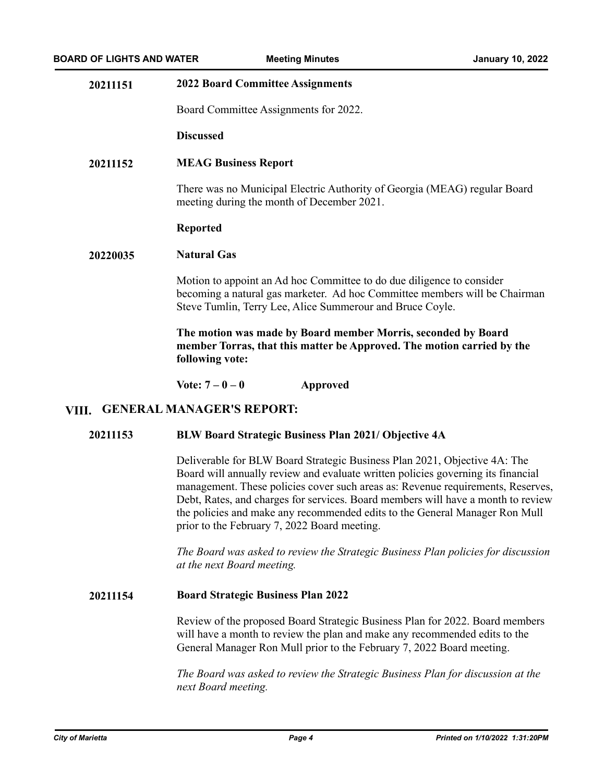| 20211151                                  | <b>2022 Board Committee Assignments</b>                                                                                                                                                                                                                                                                                                                                                                                                                             |  |
|-------------------------------------------|---------------------------------------------------------------------------------------------------------------------------------------------------------------------------------------------------------------------------------------------------------------------------------------------------------------------------------------------------------------------------------------------------------------------------------------------------------------------|--|
|                                           | Board Committee Assignments for 2022.                                                                                                                                                                                                                                                                                                                                                                                                                               |  |
|                                           | <b>Discussed</b>                                                                                                                                                                                                                                                                                                                                                                                                                                                    |  |
| 20211152                                  | <b>MEAG Business Report</b>                                                                                                                                                                                                                                                                                                                                                                                                                                         |  |
|                                           | There was no Municipal Electric Authority of Georgia (MEAG) regular Board<br>meeting during the month of December 2021.                                                                                                                                                                                                                                                                                                                                             |  |
|                                           | <b>Reported</b>                                                                                                                                                                                                                                                                                                                                                                                                                                                     |  |
| 20220035                                  | <b>Natural Gas</b>                                                                                                                                                                                                                                                                                                                                                                                                                                                  |  |
|                                           | Motion to appoint an Ad hoc Committee to do due diligence to consider<br>becoming a natural gas marketer. Ad hoc Committee members will be Chairman<br>Steve Tumlin, Terry Lee, Alice Summerour and Bruce Coyle.                                                                                                                                                                                                                                                    |  |
|                                           | The motion was made by Board member Morris, seconded by Board<br>member Torras, that this matter be Approved. The motion carried by the<br>following vote:                                                                                                                                                                                                                                                                                                          |  |
|                                           | Vote: $7 - 0 - 0$<br><b>Approved</b>                                                                                                                                                                                                                                                                                                                                                                                                                                |  |
| <b>GENERAL MANAGER'S REPORT:</b><br>VIII. |                                                                                                                                                                                                                                                                                                                                                                                                                                                                     |  |
| 20211153                                  | <b>BLW Board Strategic Business Plan 2021/ Objective 4A</b>                                                                                                                                                                                                                                                                                                                                                                                                         |  |
|                                           | Deliverable for BLW Board Strategic Business Plan 2021, Objective 4A: The<br>Board will annually review and evaluate written policies governing its financial<br>management. These policies cover such areas as: Revenue requirements, Reserves,<br>Debt, Rates, and charges for services. Board members will have a month to review<br>the policies and make any recommended edits to the General Manager Ron Mull<br>prior to the February 7, 2022 Board meeting. |  |
|                                           | The Board was asked to review the Strategic Business Plan policies for discussion<br>at the next Board meeting.                                                                                                                                                                                                                                                                                                                                                     |  |
| 20211154                                  | <b>Board Strategic Business Plan 2022</b>                                                                                                                                                                                                                                                                                                                                                                                                                           |  |

Review of the proposed Board Strategic Business Plan for 2022. Board members will have a month to review the plan and make any recommended edits to the General Manager Ron Mull prior to the February 7, 2022 Board meeting.

*The Board was asked to review the Strategic Business Plan for discussion at the next Board meeting.*